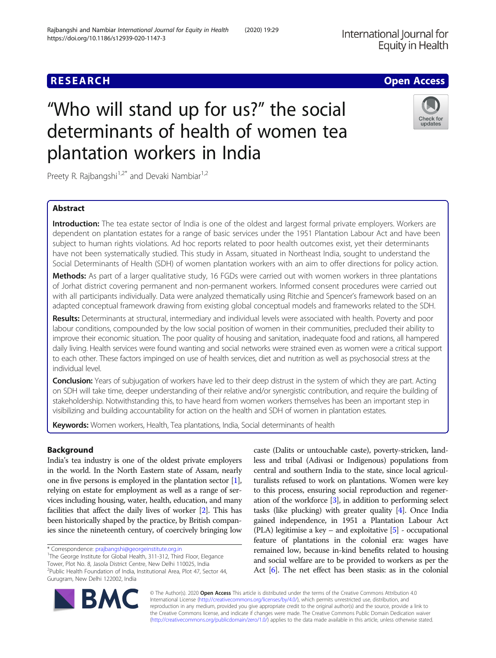# **RESEARCH CHE Open Access**

# "Who will stand up for us?" the social determinants of health of women tea plantation workers in India

Preety R. Rajbangshi<sup>1,2\*</sup> and Devaki Nambiar<sup>1,2</sup>

# Abstract

Introduction: The tea estate sector of India is one of the oldest and largest formal private employers. Workers are dependent on plantation estates for a range of basic services under the 1951 Plantation Labour Act and have been subject to human rights violations. Ad hoc reports related to poor health outcomes exist, yet their determinants have not been systematically studied. This study in Assam, situated in Northeast India, sought to understand the Social Determinants of Health (SDH) of women plantation workers with an aim to offer directions for policy action.

Methods: As part of a larger qualitative study, 16 FGDs were carried out with women workers in three plantations of Jorhat district covering permanent and non-permanent workers. Informed consent procedures were carried out with all participants individually. Data were analyzed thematically using Ritchie and Spencer's framework based on an adapted conceptual framework drawing from existing global conceptual models and frameworks related to the SDH.

Results: Determinants at structural, intermediary and individual levels were associated with health. Poverty and poor labour conditions, compounded by the low social position of women in their communities, precluded their ability to improve their economic situation. The poor quality of housing and sanitation, inadequate food and rations, all hampered daily living. Health services were found wanting and social networks were strained even as women were a critical support to each other. These factors impinged on use of health services, diet and nutrition as well as psychosocial stress at the individual level.

Conclusion: Years of subjugation of workers have led to their deep distrust in the system of which they are part. Acting on SDH will take time, deeper understanding of their relative and/or synergistic contribution, and require the building of stakeholdership. Notwithstanding this, to have heard from women workers themselves has been an important step in visibilizing and building accountability for action on the health and SDH of women in plantation estates.

Keywords: Women workers, Health, Tea plantations, India, Social determinants of health

# Background

India's tea industry is one of the oldest private employers in the world. In the North Eastern state of Assam, nearly one in five persons is employed in the plantation sector [[1](#page-8-0)], relying on estate for employment as well as a range of services including housing, water, health, education, and many facilities that affect the daily lives of worker [\[2\]](#page-8-0). This has been historically shaped by the practice, by British companies since the nineteenth century, of coercively bringing low

\* Correspondence: [prajbangshi@georgeinstitute.org.in](mailto:prajbangshi@georgeinstitute.org.in) <sup>1</sup>

**BM** 

<sup>1</sup>The George Institute for Global Health, 311-312, Third Floor, Elegance Tower, Plot No. 8, Jasola District Centre, New Delhi 110025, India <sup>2</sup>Public Health Foundation of India, Institutional Area, Plot 47, Sector 44, Gurugram, New Delhi 122002, India

gained independence, in 1951 a Plantation Labour Act (PLA) legitimise a key – and exploitative  $[5]$  $[5]$  - occupational feature of plantations in the colonial era: wages have remained low, because in-kind benefits related to housing and social welfare are to be provided to workers as per the Act [[6\]](#page-8-0). The net effect has been stasis: as in the colonial

caste (Dalits or untouchable caste), poverty-stricken, landless and tribal (Adivasi or Indigenous) populations from central and southern India to the state, since local agriculturalists refused to work on plantations. Women were key to this process, ensuring social reproduction and regeneration of the workforce [\[3](#page-8-0)], in addition to performing select tasks (like plucking) with greater quality [\[4](#page-8-0)]. Once India

© The Author(s). 2020 **Open Access** This article is distributed under the terms of the Creative Commons Attribution 4.0 International License [\(http://creativecommons.org/licenses/by/4.0/](http://creativecommons.org/licenses/by/4.0/)), which permits unrestricted use, distribution, and reproduction in any medium, provided you give appropriate credit to the original author(s) and the source, provide a link to the Creative Commons license, and indicate if changes were made. The Creative Commons Public Domain Dedication waiver [\(http://creativecommons.org/publicdomain/zero/1.0/](http://creativecommons.org/publicdomain/zero/1.0/)) applies to the data made available in this article, unless otherwise stated.



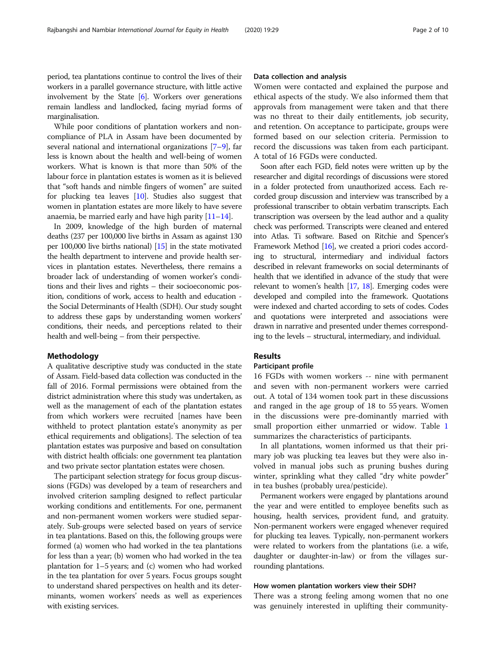period, tea plantations continue to control the lives of their workers in a parallel governance structure, with little active involvement by the State  $[6]$ . Workers over generations remain landless and landlocked, facing myriad forms of marginalisation.

While poor conditions of plantation workers and noncompliance of PLA in Assam have been documented by several national and international organizations [[7](#page-8-0)–[9](#page-8-0)], far less is known about the health and well-being of women workers. What is known is that more than 50% of the labour force in plantation estates is women as it is believed that "soft hands and nimble fingers of women" are suited for plucking tea leaves [[10](#page-8-0)]. Studies also suggest that women in plantation estates are more likely to have severe anaemia, be married early and have high parity  $[11-14]$  $[11-14]$  $[11-14]$  $[11-14]$ .

In 2009, knowledge of the high burden of maternal deaths (237 per 100,000 live births in Assam as against 130 per 100,000 live births national) [[15](#page-8-0)] in the state motivated the health department to intervene and provide health services in plantation estates. Nevertheless, there remains a broader lack of understanding of women worker's conditions and their lives and rights – their socioeconomic position, conditions of work, access to health and education the Social Determinants of Health (SDH). Our study sought to address these gaps by understanding women workers' conditions, their needs, and perceptions related to their health and well-being – from their perspective.

#### Methodology

A qualitative descriptive study was conducted in the state of Assam. Field-based data collection was conducted in the fall of 2016. Formal permissions were obtained from the district administration where this study was undertaken, as well as the management of each of the plantation estates from which workers were recruited [names have been withheld to protect plantation estate's anonymity as per ethical requirements and obligations]. The selection of tea plantation estates was purposive and based on consultation with district health officials: one government tea plantation and two private sector plantation estates were chosen.

The participant selection strategy for focus group discussions (FGDs) was developed by a team of researchers and involved criterion sampling designed to reflect particular working conditions and entitlements. For one, permanent and non-permanent women workers were studied separately. Sub-groups were selected based on years of service in tea plantations. Based on this, the following groups were formed (a) women who had worked in the tea plantations for less than a year; (b) women who had worked in the tea plantation for 1–5 years; and (c) women who had worked in the tea plantation for over 5 years. Focus groups sought to understand shared perspectives on health and its determinants, women workers' needs as well as experiences with existing services.

#### Data collection and analysis

Women were contacted and explained the purpose and ethical aspects of the study. We also informed them that approvals from management were taken and that there was no threat to their daily entitlements, job security, and retention. On acceptance to participate, groups were formed based on our selection criteria. Permission to record the discussions was taken from each participant. A total of 16 FGDs were conducted.

Soon after each FGD, field notes were written up by the researcher and digital recordings of discussions were stored in a folder protected from unauthorized access. Each recorded group discussion and interview was transcribed by a professional transcriber to obtain verbatim transcripts. Each transcription was overseen by the lead author and a quality check was performed. Transcripts were cleaned and entered into Atlas. Ti software. Based on Ritchie and Spencer's Framework Method [\[16\]](#page-8-0), we created a priori codes according to structural, intermediary and individual factors described in relevant frameworks on social determinants of health that we identified in advance of the study that were relevant to women's health [[17](#page-9-0), [18](#page-9-0)]. Emerging codes were developed and compiled into the framework. Quotations were indexed and charted according to sets of codes. Codes and quotations were interpreted and associations were drawn in narrative and presented under themes corresponding to the levels – structural, intermediary, and individual.

# Results

#### Participant profile

16 FGDs with women workers -- nine with permanent and seven with non-permanent workers were carried out. A total of 134 women took part in these discussions and ranged in the age group of 18 to 55 years. Women in the discussions were pre-dominantly married with small proportion either unmarried or widow. Table [1](#page-2-0) summarizes the characteristics of participants.

In all plantations, women informed us that their primary job was plucking tea leaves but they were also involved in manual jobs such as pruning bushes during winter, sprinkling what they called "dry white powder" in tea bushes (probably urea/pesticide).

Permanent workers were engaged by plantations around the year and were entitled to employee benefits such as housing, health services, provident fund, and gratuity. Non-permanent workers were engaged whenever required for plucking tea leaves. Typically, non-permanent workers were related to workers from the plantations (i.e. a wife, daughter or daughter-in-law) or from the villages surrounding plantations.

#### How women plantation workers view their SDH?

There was a strong feeling among women that no one was genuinely interested in uplifting their community-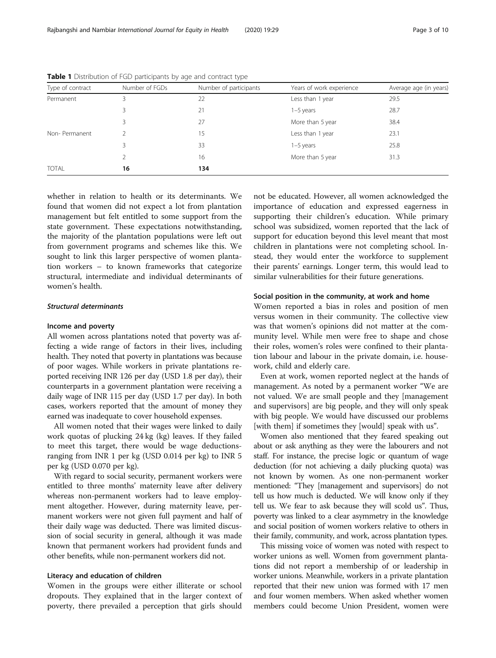| Type of contract | Number of FGDs | Number of participants | Years of work experience | Average age (in years) |
|------------------|----------------|------------------------|--------------------------|------------------------|
| Permanent        |                | 22                     | Less than 1 year         | 29.5                   |
|                  | 3              | 21                     | $1-5$ years              | 28.7                   |
|                  | 3              | 27                     | More than 5 year         | 38.4                   |
| Non-Permanent    |                | 15                     | Less than 1 year         | 23.1                   |
|                  | 3              | 33                     | 1-5 years                | 25.8                   |
|                  | $\mathfrak{D}$ | 16                     | More than 5 year         | 31.3                   |
| <b>TOTAL</b>     | 16             | 134                    |                          |                        |

<span id="page-2-0"></span>Table 1 Distribution of FGD participants by age and contract type

whether in relation to health or its determinants. We found that women did not expect a lot from plantation management but felt entitled to some support from the state government. These expectations notwithstanding, the majority of the plantation populations were left out from government programs and schemes like this. We sought to link this larger perspective of women plantation workers – to known frameworks that categorize structural, intermediate and individual determinants of women's health.

#### Structural determinants

#### Income and poverty

All women across plantations noted that poverty was affecting a wide range of factors in their lives, including health. They noted that poverty in plantations was because of poor wages. While workers in private plantations reported receiving INR 126 per day (USD 1.8 per day), their counterparts in a government plantation were receiving a daily wage of INR 115 per day (USD 1.7 per day). In both cases, workers reported that the amount of money they earned was inadequate to cover household expenses.

All women noted that their wages were linked to daily work quotas of plucking 24 kg (kg) leaves. If they failed to meet this target, there would be wage deductionsranging from INR 1 per kg (USD 0.014 per kg) to INR 5 per kg (USD 0.070 per kg).

With regard to social security, permanent workers were entitled to three months' maternity leave after delivery whereas non-permanent workers had to leave employment altogether. However, during maternity leave, permanent workers were not given full payment and half of their daily wage was deducted. There was limited discussion of social security in general, although it was made known that permanent workers had provident funds and other benefits, while non-permanent workers did not.

## Literacy and education of children

Women in the groups were either illiterate or school dropouts. They explained that in the larger context of poverty, there prevailed a perception that girls should not be educated. However, all women acknowledged the importance of education and expressed eagerness in supporting their children's education. While primary school was subsidized, women reported that the lack of support for education beyond this level meant that most children in plantations were not completing school. Instead, they would enter the workforce to supplement their parents' earnings. Longer term, this would lead to similar vulnerabilities for their future generations.

#### Social position in the community, at work and home

Women reported a bias in roles and position of men versus women in their community. The collective view was that women's opinions did not matter at the community level. While men were free to shape and chose their roles, women's roles were confined to their plantation labour and labour in the private domain, i.e. housework, child and elderly care.

Even at work, women reported neglect at the hands of management. As noted by a permanent worker "We are not valued. We are small people and they [management and supervisors] are big people, and they will only speak with big people. We would have discussed our problems [with them] if sometimes they [would] speak with us".

Women also mentioned that they feared speaking out about or ask anything as they were the labourers and not staff. For instance, the precise logic or quantum of wage deduction (for not achieving a daily plucking quota) was not known by women. As one non-permanent worker mentioned: "They [management and supervisors] do not tell us how much is deducted. We will know only if they tell us. We fear to ask because they will scold us". Thus, poverty was linked to a clear asymmetry in the knowledge and social position of women workers relative to others in their family, community, and work, across plantation types.

This missing voice of women was noted with respect to worker unions as well. Women from government plantations did not report a membership of or leadership in worker unions. Meanwhile, workers in a private plantation reported that their new union was formed with 17 men and four women members. When asked whether women members could become Union President, women were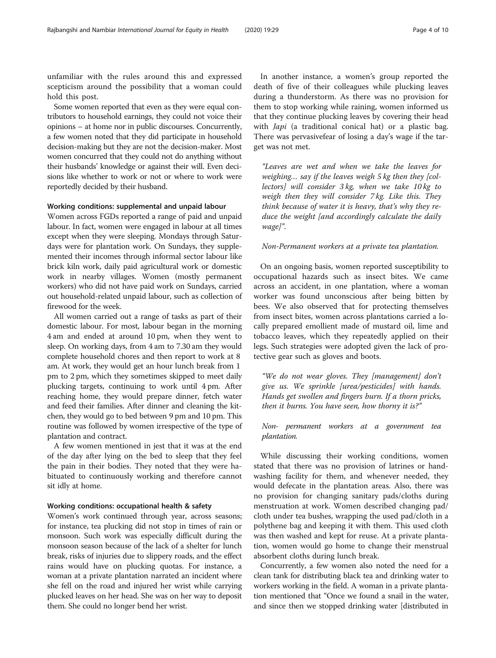unfamiliar with the rules around this and expressed scepticism around the possibility that a woman could hold this post.

Some women reported that even as they were equal contributors to household earnings, they could not voice their opinions – at home nor in public discourses. Concurrently, a few women noted that they did participate in household decision-making but they are not the decision-maker. Most women concurred that they could not do anything without their husbands' knowledge or against their will. Even decisions like whether to work or not or where to work were reportedly decided by their husband.

#### Working conditions: supplemental and unpaid labour

Women across FGDs reported a range of paid and unpaid labour. In fact, women were engaged in labour at all times except when they were sleeping. Mondays through Saturdays were for plantation work. On Sundays, they supplemented their incomes through informal sector labour like brick kiln work, daily paid agricultural work or domestic work in nearby villages. Women (mostly permanent workers) who did not have paid work on Sundays, carried out household-related unpaid labour, such as collection of firewood for the week.

All women carried out a range of tasks as part of their domestic labour. For most, labour began in the morning 4 am and ended at around 10 pm, when they went to sleep. On working days, from 4 am to 7.30 am they would complete household chores and then report to work at 8 am. At work, they would get an hour lunch break from 1 pm to 2 pm, which they sometimes skipped to meet daily plucking targets, continuing to work until 4 pm. After reaching home, they would prepare dinner, fetch water and feed their families. After dinner and cleaning the kitchen, they would go to bed between 9 pm and 10 pm. This routine was followed by women irrespective of the type of plantation and contract.

A few women mentioned in jest that it was at the end of the day after lying on the bed to sleep that they feel the pain in their bodies. They noted that they were habituated to continuously working and therefore cannot sit idly at home.

#### Working conditions: occupational health & safety

Women's work continued through year, across seasons; for instance, tea plucking did not stop in times of rain or monsoon. Such work was especially difficult during the monsoon season because of the lack of a shelter for lunch break, risks of injuries due to slippery roads, and the effect rains would have on plucking quotas. For instance, a woman at a private plantation narrated an incident where she fell on the road and injured her wrist while carrying plucked leaves on her head. She was on her way to deposit them. She could no longer bend her wrist.

In another instance, a women's group reported the death of five of their colleagues while plucking leaves during a thunderstorm. As there was no provision for them to stop working while raining, women informed us that they continue plucking leaves by covering their head with *Japi* (a traditional conical hat) or a plastic bag. There was pervasivefear of losing a day's wage if the target was not met.

"Leaves are wet and when we take the leaves for weighing… say if the leaves weigh 5 kg then they [collectors] will consider 3 kg, when we take 10 kg to weigh then they will consider 7 kg. Like this. They think because of water it is heavy, that's why they reduce the weight [and accordingly calculate the daily wage]".

#### Non-Permanent workers at a private tea plantation.

On an ongoing basis, women reported susceptibility to occupational hazards such as insect bites. We came across an accident, in one plantation, where a woman worker was found unconscious after being bitten by bees. We also observed that for protecting themselves from insect bites, women across plantations carried a locally prepared emollient made of mustard oil, lime and tobacco leaves, which they repeatedly applied on their legs. Such strategies were adopted given the lack of protective gear such as gloves and boots.

"We do not wear gloves. They [management] don't give us. We sprinkle [urea/pesticides] with hands. Hands get swollen and fingers burn. If a thorn pricks, then it burns. You have seen, how thorny it is?"

Non- permanent workers at a government tea plantation.

While discussing their working conditions, women stated that there was no provision of latrines or handwashing facility for them, and whenever needed, they would defecate in the plantation areas. Also, there was no provision for changing sanitary pads/cloths during menstruation at work. Women described changing pad/ cloth under tea bushes, wrapping the used pad/cloth in a polythene bag and keeping it with them. This used cloth was then washed and kept for reuse. At a private plantation, women would go home to change their menstrual absorbent cloths during lunch break.

Concurrently, a few women also noted the need for a clean tank for distributing black tea and drinking water to workers working in the field. A woman in a private plantation mentioned that "Once we found a snail in the water, and since then we stopped drinking water [distributed in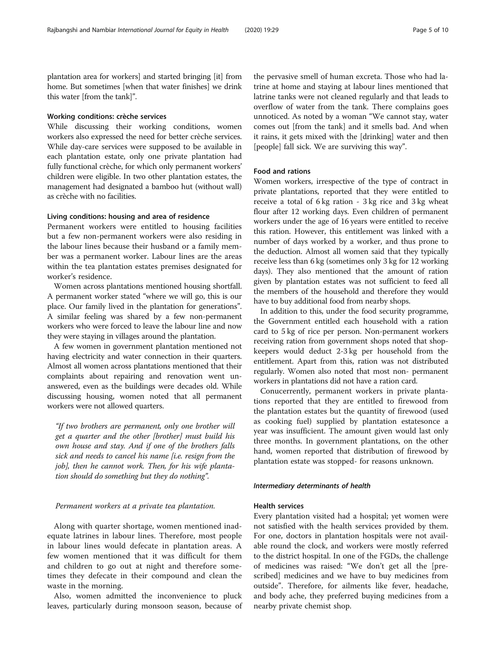plantation area for workers] and started bringing [it] from home. But sometimes [when that water finishes] we drink this water [from the tank]".

# Working conditions: crèche services

While discussing their working conditions, women workers also expressed the need for better crèche services. While day-care services were supposed to be available in each plantation estate, only one private plantation had fully functional crèche, for which only permanent workers' children were eligible. In two other plantation estates, the management had designated a bamboo hut (without wall) as crèche with no facilities.

## Living conditions: housing and area of residence

Permanent workers were entitled to housing facilities but a few non-permanent workers were also residing in the labour lines because their husband or a family member was a permanent worker. Labour lines are the areas within the tea plantation estates premises designated for worker's residence.

Women across plantations mentioned housing shortfall. A permanent worker stated "where we will go, this is our place. Our family lived in the plantation for generations". A similar feeling was shared by a few non-permanent workers who were forced to leave the labour line and now they were staying in villages around the plantation.

A few women in government plantation mentioned not having electricity and water connection in their quarters. Almost all women across plantations mentioned that their complaints about repairing and renovation went unanswered, even as the buildings were decades old. While discussing housing, women noted that all permanent workers were not allowed quarters.

"If two brothers are permanent, only one brother will get a quarter and the other [brother] must build his own house and stay. And if one of the brothers falls sick and needs to cancel his name [i.e. resign from the job], then he cannot work. Then, for his wife plantation should do something but they do nothing".

#### Permanent workers at a private tea plantation.

Along with quarter shortage, women mentioned inadequate latrines in labour lines. Therefore, most people in labour lines would defecate in plantation areas. A few women mentioned that it was difficult for them and children to go out at night and therefore sometimes they defecate in their compound and clean the waste in the morning.

Also, women admitted the inconvenience to pluck leaves, particularly during monsoon season, because of

the pervasive smell of human excreta. Those who had latrine at home and staying at labour lines mentioned that latrine tanks were not cleaned regularly and that leads to overflow of water from the tank. There complains goes unnoticed. As noted by a woman "We cannot stay, water comes out [from the tank] and it smells bad. And when it rains, it gets mixed with the [drinking] water and then [people] fall sick. We are surviving this way".

# Food and rations

Women workers, irrespective of the type of contract in private plantations, reported that they were entitled to receive a total of 6 kg ration - 3 kg rice and 3 kg wheat flour after 12 working days. Even children of permanent workers under the age of 16 years were entitled to receive this ration. However, this entitlement was linked with a number of days worked by a worker, and thus prone to the deduction. Almost all women said that they typically receive less than 6 kg (sometimes only 3 kg for 12 working days). They also mentioned that the amount of ration given by plantation estates was not sufficient to feed all the members of the household and therefore they would have to buy additional food from nearby shops.

In addition to this, under the food security programme, the Government entitled each household with a ration card to 5 kg of rice per person. Non-permanent workers receiving ration from government shops noted that shopkeepers would deduct 2-3 kg per household from the entitlement. Apart from this, ration was not distributed regularly. Women also noted that most non- permanent workers in plantations did not have a ration card.

Conucerrently, permanent workers in private plantations reported that they are entitled to firewood from the plantation estates but the quantity of firewood (used as cooking fuel) supplied by plantation estatesonce a year was insufficient. The amount given would last only three months. In government plantations, on the other hand, women reported that distribution of firewood by plantation estate was stopped- for reasons unknown.

#### Intermediary determinants of health

# Health services

Every plantation visited had a hospital; yet women were not satisfied with the health services provided by them. For one, doctors in plantation hospitals were not available round the clock, and workers were mostly referred to the district hospital. In one of the FGDs, the challenge of medicines was raised: "We don't get all the [prescribed] medicines and we have to buy medicines from outside". Therefore, for ailments like fever, headache, and body ache, they preferred buying medicines from a nearby private chemist shop.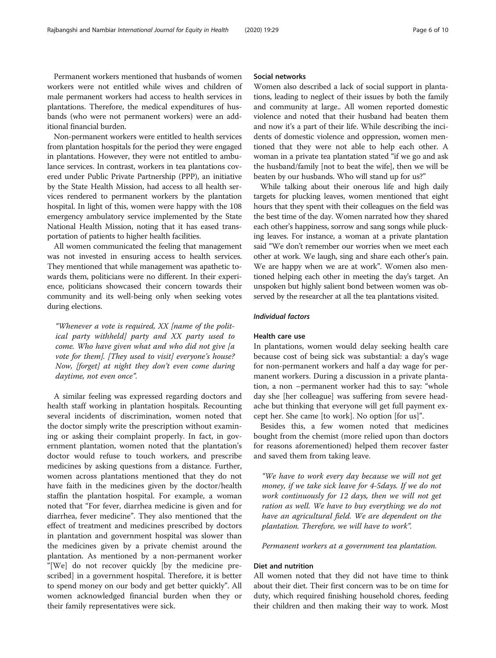Permanent workers mentioned that husbands of women workers were not entitled while wives and children of male permanent workers had access to health services in plantations. Therefore, the medical expenditures of husbands (who were not permanent workers) were an additional financial burden.

Non-permanent workers were entitled to health services from plantation hospitals for the period they were engaged in plantations. However, they were not entitled to ambulance services. In contrast, workers in tea plantations covered under Public Private Partnership (PPP), an initiative by the State Health Mission, had access to all health services rendered to permanent workers by the plantation hospital. In light of this, women were happy with the 108 emergency ambulatory service implemented by the State National Health Mission, noting that it has eased transportation of patients to higher health facilities.

All women communicated the feeling that management was not invested in ensuring access to health services. They mentioned that while management was apathetic towards them, politicians were no different. In their experience, politicians showcased their concern towards their community and its well-being only when seeking votes during elections.

"Whenever a vote is required, XX [name of the political party withheld] party and XX party used to come. Who have given what and who did not give [a vote for them]. [They used to visit] everyone's house? Now, [forget] at night they don't even come during daytime, not even once".

A similar feeling was expressed regarding doctors and health staff working in plantation hospitals. Recounting several incidents of discrimination, women noted that the doctor simply write the prescription without examining or asking their complaint properly. In fact, in government plantation, women noted that the plantation's doctor would refuse to touch workers, and prescribe medicines by asking questions from a distance. Further, women across plantations mentioned that they do not have faith in the medicines given by the doctor/health staffin the plantation hospital. For example, a woman noted that "For fever, diarrhea medicine is given and for diarrhea, fever medicine". They also mentioned that the effect of treatment and medicines prescribed by doctors in plantation and government hospital was slower than the medicines given by a private chemist around the plantation. As mentioned by a non-permanent worker "[We] do not recover quickly [by the medicine prescribed] in a government hospital. Therefore, it is better to spend money on our body and get better quickly". All women acknowledged financial burden when they or their family representatives were sick.

# Social networks

Women also described a lack of social support in plantations, leading to neglect of their issues by both the family and community at large.. All women reported domestic violence and noted that their husband had beaten them and now it's a part of their life. While describing the incidents of domestic violence and oppression, women mentioned that they were not able to help each other. A woman in a private tea plantation stated "if we go and ask the husband/family [not to beat the wife], then we will be beaten by our husbands. Who will stand up for us?"

While talking about their onerous life and high daily targets for plucking leaves, women mentioned that eight hours that they spent with their colleagues on the field was the best time of the day. Women narrated how they shared each other's happiness, sorrow and sang songs while plucking leaves. For instance, a woman at a private plantation said "We don't remember our worries when we meet each other at work. We laugh, sing and share each other's pain. We are happy when we are at work". Women also mentioned helping each other in meeting the day's target. An unspoken but highly salient bond between women was observed by the researcher at all the tea plantations visited.

#### Individual factors

# Health care use

In plantations, women would delay seeking health care because cost of being sick was substantial: a day's wage for non-permanent workers and half a day wage for permanent workers. During a discussion in a private plantation, a non –permanent worker had this to say: "whole day she [her colleague] was suffering from severe headache but thinking that everyone will get full payment except her. She came [to work]. No option [for us]".

Besides this, a few women noted that medicines bought from the chemist (more relied upon than doctors for reasons aforementioned) helped them recover faster and saved them from taking leave.

"We have to work every day because we will not get money, if we take sick leave for 4-5days. If we do not work continuously for 12 days, then we will not get ration as well. We have to buy everything; we do not have an agricultural field. We are dependent on the plantation. Therefore, we will have to work".

Permanent workers at a government tea plantation.

# Diet and nutrition

All women noted that they did not have time to think about their diet. Their first concern was to be on time for duty, which required finishing household chores, feeding their children and then making their way to work. Most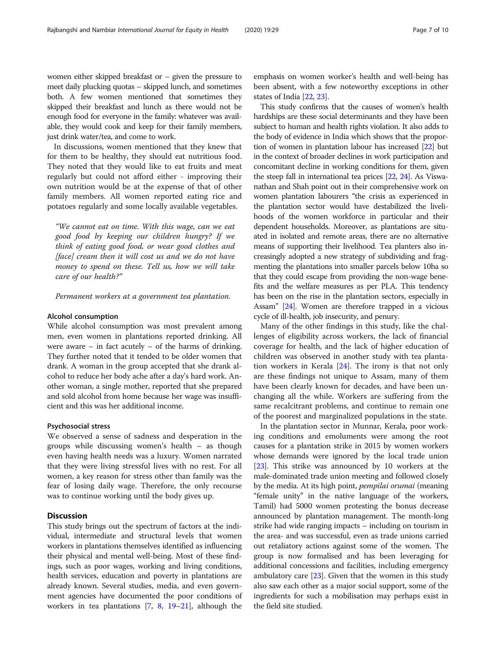women either skipped breakfast or – given the pressure to meet daily plucking quotas – skipped lunch, and sometimes both. A few women mentioned that sometimes they skipped their breakfast and lunch as there would not be enough food for everyone in the family: whatever was available, they would cook and keep for their family members, just drink water/tea, and come to work.

In discussions, women mentioned that they knew that for them to be healthy, they should eat nutritious food. They noted that they would like to eat fruits and meat regularly but could not afford either - improving their own nutrition would be at the expense of that of other family members. All women reported eating rice and potatoes regularly and some locally available vegetables.

"We cannot eat on time. With this wage, can we eat good food by keeping our children hungry? If we think of eating good food, or wear good clothes and [face] cream then it will cost us and we do not have money to spend on these. Tell us, how we will take care of our health?"

Permanent workers at a government tea plantation.

#### Alcohol consumption

While alcohol consumption was most prevalent among men, even women in plantations reported drinking. All were aware  $-$  in fact acutely  $-$  of the harms of drinking. They further noted that it tended to be older women that drank. A woman in the group accepted that she drank alcohol to reduce her body ache after a day's hard work. Another woman, a single mother, reported that she prepared and sold alcohol from home because her wage was insufficient and this was her additional income.

# Psychosocial stress

We observed a sense of sadness and desperation in the groups while discussing women's health – as though even having health needs was a luxury. Women narrated that they were living stressful lives with no rest. For all women, a key reason for stress other than family was the fear of losing daily wage. Therefore, the only recourse was to continue working until the body gives up.

# **Discussion**

This study brings out the spectrum of factors at the individual, intermediate and structural levels that women workers in plantations themselves identified as influencing their physical and mental well-being. Most of these findings, such as poor wages, working and living conditions, health services, education and poverty in plantations are already known. Several studies, media, and even government agencies have documented the poor conditions of workers in tea plantations [\[7,](#page-8-0) [8](#page-8-0), [19](#page-9-0)–[21\]](#page-9-0), although the

emphasis on women worker's health and well-being has been absent, with a few noteworthy exceptions in other states of India [\[22,](#page-9-0) [23](#page-9-0)].

This study confirms that the causes of women's health hardships are these social determinants and they have been subject to human and health rights violation. It also adds to the body of evidence in India which shows that the proportion of women in plantation labour has increased [\[22\]](#page-9-0) but in the context of broader declines in work participation and concomitant decline in working conditions for them, given the steep fall in international tea prices [\[22](#page-9-0), [24\]](#page-9-0). As Viswanathan and Shah point out in their comprehensive work on women plantation labourers "the crisis as experienced in the plantation sector would have destabilized the livelihoods of the women workforce in particular and their dependent households. Moreover, as plantations are situated in isolated and remote areas, there are no alternative means of supporting their livelihood. Tea planters also increasingly adopted a new strategy of subdividing and fragmenting the plantations into smaller parcels below 10ha so that they could escape from providing the non-wage benefits and the welfare measures as per PLA. This tendency has been on the rise in the plantation sectors, especially in Assam" [\[24\]](#page-9-0). Women are therefore trapped in a vicious cycle of ill-health, job insecurity, and penury.

Many of the other findings in this study, like the challenges of eligibility across workers, the lack of financial coverage for health, and the lack of higher education of children was observed in another study with tea plantation workers in Kerala [\[24](#page-9-0)]. The irony is that not only are these findings not unique to Assam, many of them have been clearly known for decades, and have been unchanging all the while. Workers are suffering from the same recalcitrant problems, and continue to remain one of the poorest and marginalized populations in the state.

In the plantation sector in Munnar, Kerala, poor working conditions and emoluments were among the root causes for a plantation strike in 2015 by women workers whose demands were ignored by the local trade union [[23](#page-9-0)]. This strike was announced by 10 workers at the male-dominated trade union meeting and followed closely by the media. At its high point, *pempilai orumai* (meaning "female unity" in the native language of the workers, Tamil) had 5000 women protesting the bonus decrease announced by plantation management. The month-long strike had wide ranging impacts – including on tourism in the area- and was successful, even as trade unions carried out retaliatory actions against some of the women. The group is now formalised and has been leveraging for additional concessions and facilities, including emergency ambulatory care [\[23\]](#page-9-0). Given that the women in this study also saw each other as a major social support, some of the ingredients for such a mobilisation may perhaps exist in the field site studied.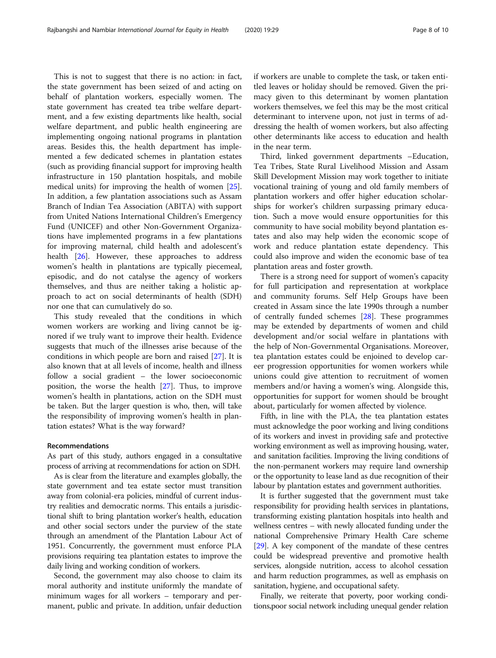Rajbangshi and Nambiar International Journal for Equity in Health (2020) 19:29 Page 8 of 10

This is not to suggest that there is no action: in fact, the state government has been seized of and acting on behalf of plantation workers, especially women. The state government has created tea tribe welfare department, and a few existing departments like health, social welfare department, and public health engineering are implementing ongoing national programs in plantation areas. Besides this, the health department has implemented a few dedicated schemes in plantation estates (such as providing financial support for improving health infrastructure in 150 plantation hospitals, and mobile medical units) for improving the health of women [\[25](#page-9-0)]. In addition, a few plantation associations such as Assam Branch of Indian Tea Association (ABITA) with support from United Nations International Children's Emergency Fund (UNICEF) and other Non-Government Organizations have implemented programs in a few plantations for improving maternal, child health and adolescent's health [[26\]](#page-9-0). However, these approaches to address women's health in plantations are typically piecemeal, episodic, and do not catalyse the agency of workers themselves, and thus are neither taking a holistic approach to act on social determinants of health (SDH) nor one that can cumulatively do so.

This study revealed that the conditions in which women workers are working and living cannot be ignored if we truly want to improve their health. Evidence suggests that much of the illnesses arise because of the conditions in which people are born and raised [[27](#page-9-0)]. It is also known that at all levels of income, health and illness follow a social gradient – the lower socioeconomic position, the worse the health [\[27\]](#page-9-0). Thus, to improve women's health in plantations, action on the SDH must be taken. But the larger question is who, then, will take the responsibility of improving women's health in plantation estates? What is the way forward?

# Recommendations

As part of this study, authors engaged in a consultative process of arriving at recommendations for action on SDH.

As is clear from the literature and examples globally, the state government and tea estate sector must transition away from colonial-era policies, mindful of current industry realities and democratic norms. This entails a jurisdictional shift to bring plantation worker's health, education and other social sectors under the purview of the state through an amendment of the Plantation Labour Act of 1951. Concurrently, the government must enforce PLA provisions requiring tea plantation estates to improve the daily living and working condition of workers.

Second, the government may also choose to claim its moral authority and institute uniformly the mandate of minimum wages for all workers – temporary and permanent, public and private. In addition, unfair deduction if workers are unable to complete the task, or taken entitled leaves or holiday should be removed. Given the primacy given to this determinant by women plantation workers themselves, we feel this may be the most critical determinant to intervene upon, not just in terms of addressing the health of women workers, but also affecting other determinants like access to education and health in the near term.

Third, linked government departments –Education, Tea Tribes, State Rural Livelihood Mission and Assam Skill Development Mission may work together to initiate vocational training of young and old family members of plantation workers and offer higher education scholarships for worker's children surpassing primary education. Such a move would ensure opportunities for this community to have social mobility beyond plantation estates and also may help widen the economic scope of work and reduce plantation estate dependency. This could also improve and widen the economic base of tea plantation areas and foster growth.

There is a strong need for support of women's capacity for full participation and representation at workplace and community forums. Self Help Groups have been created in Assam since the late 1990s through a number of centrally funded schemes [\[28](#page-9-0)]. These programmes may be extended by departments of women and child development and/or social welfare in plantations with the help of Non-Governmental Organisations. Moreover, tea plantation estates could be enjoined to develop career progression opportunities for women workers while unions could give attention to recruitment of women members and/or having a women's wing. Alongside this, opportunities for support for women should be brought about, particularly for women affected by violence.

Fifth, in line with the PLA, the tea plantation estates must acknowledge the poor working and living conditions of its workers and invest in providing safe and protective working environment as well as improving housing, water, and sanitation facilities. Improving the living conditions of the non-permanent workers may require land ownership or the opportunity to lease land as due recognition of their labour by plantation estates and government authorities.

It is further suggested that the government must take responsibility for providing health services in plantations, transforming existing plantation hospitals into health and wellness centres – with newly allocated funding under the national Comprehensive Primary Health Care scheme [[29](#page-9-0)]. A key component of the mandate of these centres could be widespread preventive and promotive health services, alongside nutrition, access to alcohol cessation and harm reduction programmes, as well as emphasis on sanitation, hygiene, and occupational safety.

Finally, we reiterate that poverty, poor working conditions,poor social network including unequal gender relation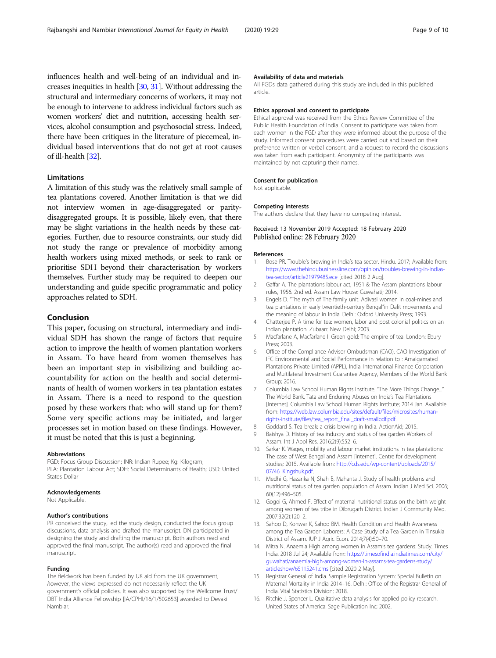<span id="page-8-0"></span>influences health and well-being of an individual and increases inequities in health [\[30](#page-9-0), [31\]](#page-9-0). Without addressing the structural and intermediary concerns of workers, it may not be enough to intervene to address individual factors such as women workers' diet and nutrition, accessing health services, alcohol consumption and psychosocial stress. Indeed, there have been critiques in the literature of piecemeal, individual based interventions that do not get at root causes of ill-health [\[32\]](#page-9-0).

# Limitations

A limitation of this study was the relatively small sample of tea plantations covered. Another limitation is that we did not interview women in age-disaggregated or paritydisaggregated groups. It is possible, likely even, that there may be slight variations in the health needs by these categories. Further, due to resource constraints, our study did not study the range or prevalence of morbidity among health workers using mixed methods, or seek to rank or prioritise SDH beyond their characterisation by workers themselves. Further study may be required to deepen our understanding and guide specific programmatic and policy approaches related to SDH.

# Conclusion

This paper, focusing on structural, intermediary and individual SDH has shown the range of factors that require action to improve the health of women plantation workers in Assam. To have heard from women themselves has been an important step in visibilizing and building accountability for action on the health and social determinants of health of women workers in tea plantation estates in Assam. There is a need to respond to the question posed by these workers that: who will stand up for them? Some very specific actions may be initiated, and larger processes set in motion based on these findings. However, it must be noted that this is just a beginning.

#### Abbreviations

FGD: Focus Group Discussion; INR: Indian Rupee; Kg: Kilogram; PLA: Plantation Labour Act; SDH: Social Determinants of Health; USD: United States Dollar

#### Acknowledgements

Not Applicable.

#### Author's contributions

PR conceived the study, led the study design, conducted the focus group discussions, data analysis and drafted the manuscript. DN participated in designing the study and drafting the manuscript. Both authors read and approved the final manuscript. The author(s) read and approved the final manuscript.

#### Funding

The fieldwork has been funded by UK aid from the UK government, however, the views expressed do not necessarily reflect the UK government's official policies. It was also supported by the Wellcome Trust/ DBT India Alliance Fellowship [IA/CPHI/16/1/502653] awarded to Devaki Nambiar.

#### Availability of data and materials

All FGDs data gathered during this study are included in this published article.

#### Ethics approval and consent to participate

Ethical approval was received from the Ethics Review Committee of the Public Health Foundation of India. Consent to participate was taken from each women in the FGD after they were informed about the purpose of the study. Informed consent procedures were carried out and based on their preference written or verbal consent, and a request to record the discussions was taken from each participant. Anonymity of the participants was maintained by not capturing their names.

#### Consent for publication

Not applicable.

#### Competing interests

The authors declare that they have no competing interest.

Received: 13 November 2019 Accepted: 18 February 2020 Published online: 28 February 2020

#### References

- 1. Bose PR. Trouble's brewing in India's tea sector. Hindu. 2017; Available from: [https://www.thehindubusinessline.com/opinion/troubles-brewing-in-indias](https://www.thehindubusinessline.com/opinion/troubles-brewing-in-indias-tea-sector/article21979485.ece)[tea-sector/article21979485.ece](https://www.thehindubusinessline.com/opinion/troubles-brewing-in-indias-tea-sector/article21979485.ece) [cited 2018 2 Aug].
- 2. Gaffar A. The plantations labour act, 1951 & The Assam plantations labour rules, 1956. 2nd ed. Assam Law House: Guwahati; 2014.
- 3. Engels D. "The myth of The family unit: Adivasi women in coal-mines and tea plantations in early twentieth-century Bengal"in Dalit movements and the meaning of labour in India. Delhi: Oxford University Press; 1993.
- 4. Chatterjee P. A time for tea: women, labor and post colonial politics on an Indian plantation. Zubaan: New Delhi; 2003.
- 5. Macfarlane A, Macfarlane I. Green gold: The empire of tea. London: Ebury Press; 2003.
- 6. Office of the Compliance Advisor Ombudsman (CAO). CAO Investigation of IFC Environmental and Social Performance in relation to : Amalgamated Plantations Private Limited (APPL), India. International Finance Corporation and Multilateral Investment Guarantee Agency, Members of the World Bank Group; 2016.
- 7. Columbia Law School Human Rights Institute. "The More Things Change..." The World Bank, Tata and Enduring Abuses on India's Tea Plantations [Internet]. Columbia Law School Human Rights Institute; 2014 Jan. Available from: [https://web.law.columbia.edu/sites/default/files/microsites/human](https://web.law.columbia.edu/sites/default/files/microsites/human-rights-institute/files/tea_report_final_draft-smallpdf.pdf)[rights-institute/files/tea\\_report\\_final\\_draft-smallpdf.pdf](https://web.law.columbia.edu/sites/default/files/microsites/human-rights-institute/files/tea_report_final_draft-smallpdf.pdf).
- 8. Goddard S. Tea break: a crisis brewing in India. ActionAid; 2015.
- 9. Baishya D. History of tea industry and status of tea garden Workers of Assam. Int J Appl Res. 2016;2(9):552–6.
- 10. Sarkar K. Wages, mobility and labour market institutions in tea plantations: The case of West Bengal and Assam [internet]. Centre for development studies; 2015. Available from: [http://cds.edu/wp-content/uploads/2015/](http://cds.edu/wp-content/uploads/2015/07/46_Kingshuk.pdf) [07/46\\_Kingshuk.pdf.](http://cds.edu/wp-content/uploads/2015/07/46_Kingshuk.pdf)
- 11. Medhi G, Hazarika N, Shah B, Mahanta J. Study of health problems and nutritional status of tea garden population of Assam. Indian J Med Sci. 2006; 60(12):496–505.
- 12. Gogoi G, Ahmed F. Effect of maternal nutritional status on the birth weight among women of tea tribe in Dibrugarh District. Indian J Community Med. 2007;32(2):120–2.
- 13. Sahoo D, Konwar K, Sahoo BM. Health Condition and Health Awareness among the Tea Garden Laborers: A Case Study of a Tea Garden in Tinsukia District of Assam. IUP J Agric Econ. 2014;7(4):50–70.
- 14. Mitra N. Anaemia High among women in Assam's tea gardens: Study. Times India. 2018 Jul 24; Available from: [https://timesofindia.indiatimes.com/city/](https://timesofindia.indiatimes.com/city/guwahati/anaemia-high-among-women-in-assams-tea-gardens-study/articleshow/65115241.cms) [guwahati/anaemia-high-among-women-in-assams-tea-gardens-study/](https://timesofindia.indiatimes.com/city/guwahati/anaemia-high-among-women-in-assams-tea-gardens-study/articleshow/65115241.cms) [articleshow/65115241.cms](https://timesofindia.indiatimes.com/city/guwahati/anaemia-high-among-women-in-assams-tea-gardens-study/articleshow/65115241.cms) [cited 2020 2 May].
- 15. Registrar General of India. Sample Registration System: Special Bulletin on Maternal Mortality in India 2014–16. Delhi: Office of the Registrar General of India. Vital Statistics Division; 2018.
- 16. Ritchie J, Spencer L. Qualitative data analysis for applied policy research. United States of America: Sage Publication Inc; 2002.